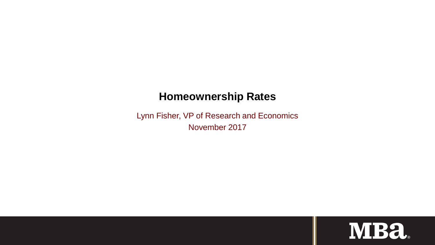# **Homeownership Rates**

Lynn Fisher, VP of Research and Economics November 2017

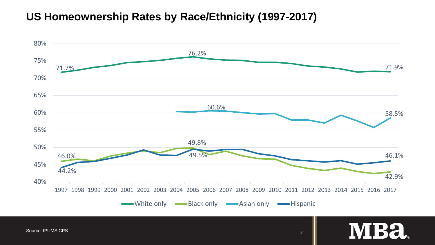# **US Homeownership Rates by Race/Ethnicity (1997-2017)**



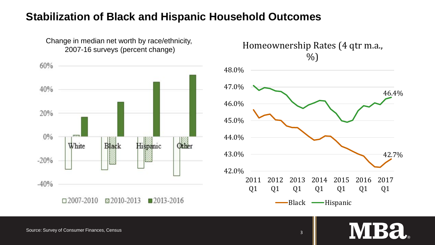### **Stabilization of Black and Hispanic Household Outcomes**



Change in median net worth by race/ethnicity, 2007-16 surveys (percent change)



Source: Survey of Consumer Finances, Census 3

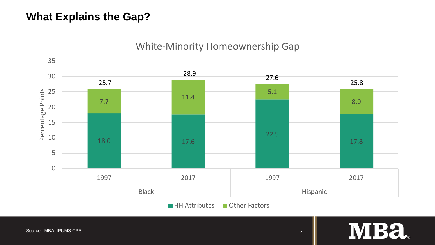## **What Explains the Gap?**



#### White-Minority Homeownership Gap

**MBa**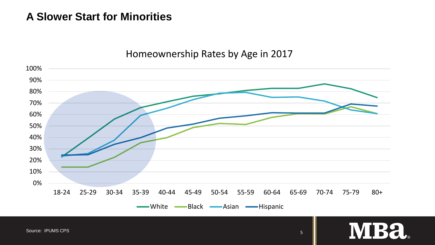## **A Slower Start for Minorities**

#### Homeownership Rates by Age in 2017



**MBa**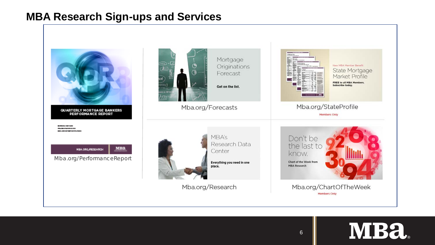## **MBA Research Sign-ups and Services**